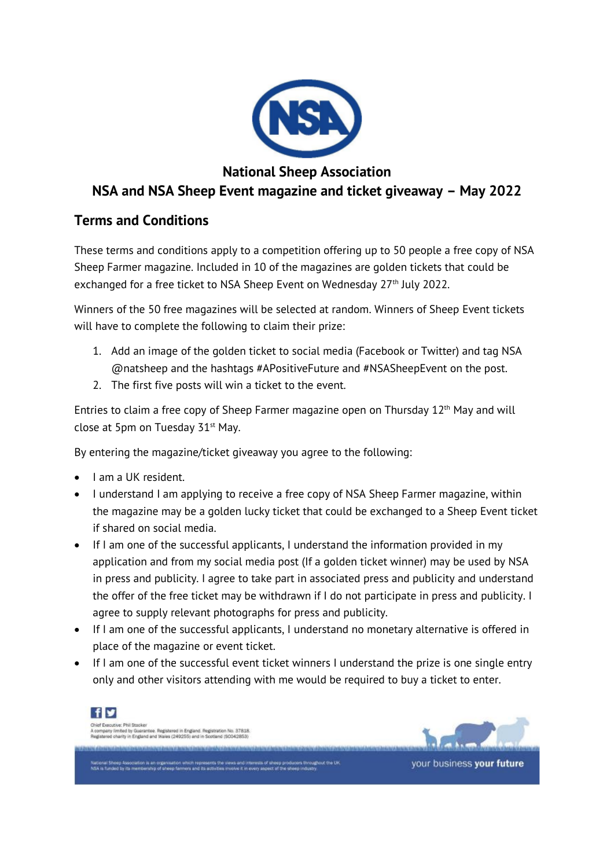

## **National Sheep Association NSA and NSA Sheep Event magazine and ticket giveaway – May 2022**

## **Terms and Conditions**

These terms and conditions apply to a competition offering up to 50 people a free copy of NSA Sheep Farmer magazine. Included in 10 of the magazines are golden tickets that could be exchanged for a free ticket to NSA Sheep Event on Wednesday 27<sup>th</sup> July 2022.

Winners of the 50 free magazines will be selected at random. Winners of Sheep Event tickets will have to complete the following to claim their prize:

- 1. Add an image of the golden ticket to social media (Facebook or Twitter) and tag NSA @natsheep and the hashtags #APositiveFuture and #NSASheepEvent on the post.
- 2. The first five posts will win a ticket to the event.

Entries to claim a free copy of Sheep Farmer magazine open on Thursday  $12<sup>th</sup>$  May and will close at 5pm on Tuesday  $31<sup>st</sup>$  May.

By entering the magazine/ticket giveaway you agree to the following:

- I am a UK resident.
- I understand I am applying to receive a free copy of NSA Sheep Farmer magazine, within the magazine may be a golden lucky ticket that could be exchanged to a Sheep Event ticket if shared on social media.
- If I am one of the successful applicants, I understand the information provided in my application and from my social media post (If a golden ticket winner) may be used by NSA in press and publicity. I agree to take part in associated press and publicity and understand the offer of the free ticket may be withdrawn if I do not participate in press and publicity. I agree to supply relevant photographs for press and publicity.
- If I am one of the successful applicants, I understand no monetary alternative is offered in place of the magazine or event ticket.
- If I am one of the successful event ticket winners I understand the prize is one single entry only and other visitors attending with me would be required to buy a ticket to enter.